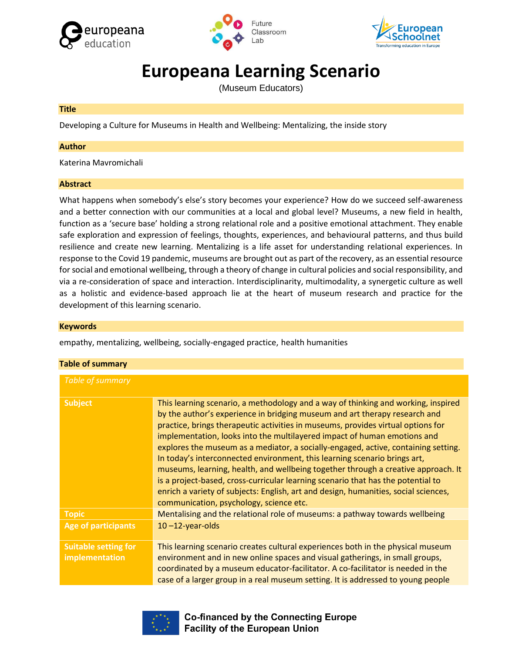





# **Europeana Learning Scenario**

(Museum Educators)

### **Title**

Developing a Culture for Museums in Health and Wellbeing: Mentalizing, the inside story

### **Author**

Katerina Mavromichali

### **Abstract**

What happens when somebody's else's story becomes your experience? How do we succeed self-awareness and a better connection with our communities at a local and global level? Museums, a new field in health, function as a 'secure base' holding a strong relational role and a positive emotional attachment. They enable safe exploration and expression of feelings, thoughts, experiences, and behavioural patterns, and thus build resilience and create new learning. Mentalizing is a life asset for understanding relational experiences. In response to the Covid 19 pandemic, museums are brought out as part of the recovery, as an essential resource for social and emotional wellbeing, through a theory of change in cultural policies and social responsibility, and via a re-consideration of space and interaction. Interdisciplinarity, multimodality, a synergetic culture as well as a holistic and evidence-based approach lie at the heart of museum research and practice for the development of this learning scenario.

### **Keywords**

empathy, mentalizing, wellbeing, socially-engaged practice, health humanities

| <b>Table of summary</b>                       |                                                                                                                                                                                                                                                                                                                                                                                                                                                                                                                                                                                                                                                                                                                                                                                                               |  |  |
|-----------------------------------------------|---------------------------------------------------------------------------------------------------------------------------------------------------------------------------------------------------------------------------------------------------------------------------------------------------------------------------------------------------------------------------------------------------------------------------------------------------------------------------------------------------------------------------------------------------------------------------------------------------------------------------------------------------------------------------------------------------------------------------------------------------------------------------------------------------------------|--|--|
| Table of summary                              |                                                                                                                                                                                                                                                                                                                                                                                                                                                                                                                                                                                                                                                                                                                                                                                                               |  |  |
| <b>Subject</b>                                | This learning scenario, a methodology and a way of thinking and working, inspired<br>by the author's experience in bridging museum and art therapy research and<br>practice, brings therapeutic activities in museums, provides virtual options for<br>implementation, looks into the multilayered impact of human emotions and<br>explores the museum as a mediator, a socially-engaged, active, containing setting.<br>In today's interconnected environment, this learning scenario brings art,<br>museums, learning, health, and wellbeing together through a creative approach. It<br>is a project-based, cross-curricular learning scenario that has the potential to<br>enrich a variety of subjects: English, art and design, humanities, social sciences,<br>communication, psychology, science etc. |  |  |
| <b>Topic</b>                                  | Mentalising and the relational role of museums: a pathway towards wellbeing                                                                                                                                                                                                                                                                                                                                                                                                                                                                                                                                                                                                                                                                                                                                   |  |  |
| <b>Age of participants</b>                    | $10 - 12$ -year-olds                                                                                                                                                                                                                                                                                                                                                                                                                                                                                                                                                                                                                                                                                                                                                                                          |  |  |
| <b>Suitable setting for</b><br>implementation | This learning scenario creates cultural experiences both in the physical museum<br>environment and in new online spaces and visual gatherings, in small groups,<br>coordinated by a museum educator-facilitator. A co-facilitator is needed in the<br>case of a larger group in a real museum setting. It is addressed to young people                                                                                                                                                                                                                                                                                                                                                                                                                                                                        |  |  |



**Co-financed by the Connecting Europe Facility of the European Union**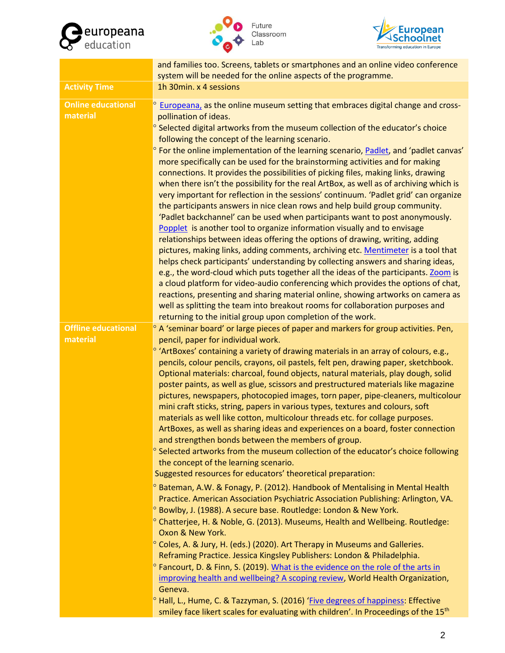

![](_page_1_Picture_1.jpeg)

![](_page_1_Picture_2.jpeg)

|                                        | and families too. Screens, tablets or smartphones and an online video conference<br>system will be needed for the online aspects of the programme.                                                                                                                                                                                                                                                                                                                                                                                                                                                                                                                                                                                                                                                                                                                                                                                                                                                                                                                                                                                                                                                                                                                                                                                                                 |  |  |
|----------------------------------------|--------------------------------------------------------------------------------------------------------------------------------------------------------------------------------------------------------------------------------------------------------------------------------------------------------------------------------------------------------------------------------------------------------------------------------------------------------------------------------------------------------------------------------------------------------------------------------------------------------------------------------------------------------------------------------------------------------------------------------------------------------------------------------------------------------------------------------------------------------------------------------------------------------------------------------------------------------------------------------------------------------------------------------------------------------------------------------------------------------------------------------------------------------------------------------------------------------------------------------------------------------------------------------------------------------------------------------------------------------------------|--|--|
| <b>Activity Time</b>                   | 1h 30min. x 4 sessions                                                                                                                                                                                                                                                                                                                                                                                                                                                                                                                                                                                                                                                                                                                                                                                                                                                                                                                                                                                                                                                                                                                                                                                                                                                                                                                                             |  |  |
| <b>Online educational</b><br>material  | <sup>o</sup> Europeana, as the online museum setting that embraces digital change and cross-<br>pollination of ideas.<br>$\degree$ Selected digital artworks from the museum collection of the educator's choice<br>following the concept of the learning scenario.                                                                                                                                                                                                                                                                                                                                                                                                                                                                                                                                                                                                                                                                                                                                                                                                                                                                                                                                                                                                                                                                                                |  |  |
|                                        | ° For the online implementation of the learning scenario, Padlet, and 'padlet canvas'<br>more specifically can be used for the brainstorming activities and for making<br>connections. It provides the possibilities of picking files, making links, drawing<br>when there isn't the possibility for the real ArtBox, as well as of archiving which is<br>very important for reflection in the sessions' continuum. 'Padlet grid' can organize<br>the participants answers in nice clean rows and help build group community.<br>'Padlet backchannel' can be used when participants want to post anonymously.<br>Popplet is another tool to organize information visually and to envisage<br>relationships between ideas offering the options of drawing, writing, adding<br>pictures, making links, adding comments, archiving etc. Mentimeter is a tool that<br>helps check participants' understanding by collecting answers and sharing ideas,<br>e.g., the word-cloud which puts together all the ideas of the participants. Zoom is<br>a cloud platform for video-audio conferencing which provides the options of chat,<br>reactions, presenting and sharing material online, showing artworks on camera as<br>well as splitting the team into breakout rooms for collaboration purposes and<br>returning to the initial group upon completion of the work. |  |  |
| <b>Offline educational</b><br>material | $\degree$ A 'seminar board' or large pieces of paper and markers for group activities. Pen,<br>pencil, paper for individual work.                                                                                                                                                                                                                                                                                                                                                                                                                                                                                                                                                                                                                                                                                                                                                                                                                                                                                                                                                                                                                                                                                                                                                                                                                                  |  |  |
|                                        | <sup>o</sup> 'ArtBoxes' containing a variety of drawing materials in an array of colours, e.g.,<br>pencils, colour pencils, crayons, oil pastels, felt pen, drawing paper, sketchbook.<br>Optional materials: charcoal, found objects, natural materials, play dough, solid<br>poster paints, as well as glue, scissors and prestructured materials like magazine<br>pictures, newspapers, photocopied images, torn paper, pipe-cleaners, multicolour<br>mini craft sticks, string, papers in various types, textures and colours, soft<br>materials as well like cotton, multicolour threads etc. for collage purposes.<br>ArtBoxes, as well as sharing ideas and experiences on a board, foster connection<br>and strengthen bonds between the members of group.<br><sup>o</sup> Selected artworks from the museum collection of the educator's choice following<br>the concept of the learning scenario.<br>Suggested resources for educators' theoretical preparation:                                                                                                                                                                                                                                                                                                                                                                                         |  |  |
|                                        | <sup>o</sup> Bateman, A.W. & Fonagy, P. (2012). Handbook of Mentalising in Mental Health<br>Practice. American Association Psychiatric Association Publishing: Arlington, VA.<br><sup>o</sup> Bowlby, J. (1988). A secure base. Routledge: London & New York.<br>° Chatterjee, H. & Noble, G. (2013). Museums, Health and Wellbeing. Routledge:<br>Oxon & New York.                                                                                                                                                                                                                                                                                                                                                                                                                                                                                                                                                                                                                                                                                                                                                                                                                                                                                                                                                                                                |  |  |
|                                        | ° Coles, A. & Jury, H. (eds.) (2020). Art Therapy in Museums and Galleries.<br>Reframing Practice. Jessica Kingsley Publishers: London & Philadelphia.<br><sup>o</sup> Fancourt, D. & Finn, S. (2019). What is the evidence on the role of the arts in<br>improving health and wellbeing? A scoping review, World Health Organization,<br>Geneva.<br><sup>o</sup> Hall, L., Hume, C. & Tazzyman, S. (2016) 'Five degrees of happiness: Effective<br>smiley face likert scales for evaluating with children'. In Proceedings of the 15 <sup>th</sup>                                                                                                                                                                                                                                                                                                                                                                                                                                                                                                                                                                                                                                                                                                                                                                                                                |  |  |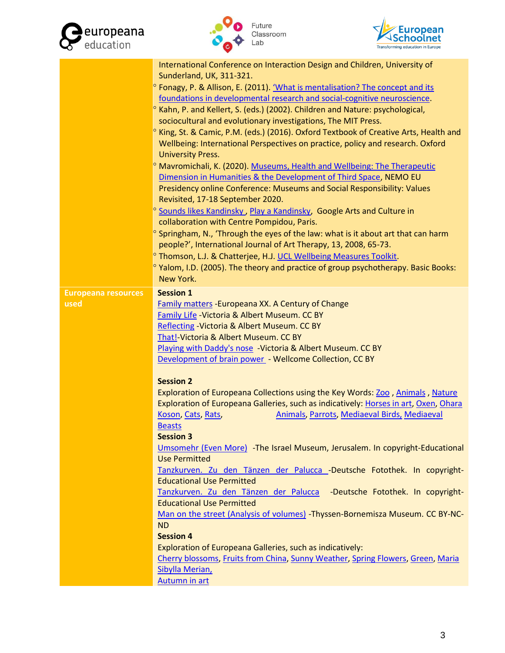![](_page_2_Picture_0.jpeg)

![](_page_2_Picture_1.jpeg)

![](_page_2_Picture_2.jpeg)

|                            | International Conference on Interaction Design and Children, University of                       |
|----------------------------|--------------------------------------------------------------------------------------------------|
|                            | Sunderland, UK, 311-321.                                                                         |
|                            | <sup>o</sup> Fonagy, P. & Allison, E. (2011). 'What is mentalisation? The concept and its        |
|                            | foundations in developmental research and social-cognitive neuroscience.                         |
|                            | <sup>o</sup> Kahn, P. and Kellert, S. (eds.) (2002). Children and Nature: psychological,         |
|                            | sociocultural and evolutionary investigations, The MIT Press.                                    |
|                            | <sup>o</sup> King, St. & Camic, P.M. (eds.) (2016). Oxford Textbook of Creative Arts, Health and |
|                            | Wellbeing: International Perspectives on practice, policy and research. Oxford                   |
|                            | <b>University Press.</b>                                                                         |
|                            | <sup>o</sup> Mavromichali, K. (2020). Museums, Health and Wellbeing: The Therapeutic             |
|                            | Dimension in Humanities & the Development of Third Space, NEMO EU                                |
|                            | Presidency online Conference: Museums and Social Responsibility: Values                          |
|                            | Revisited, 17-18 September 2020.                                                                 |
|                            | <sup>o</sup> Sounds likes Kandinsky, Play a Kandinsky, Google Arts and Culture in                |
|                            | collaboration with Centre Pompidou, Paris.                                                       |
|                            | <sup>o</sup> Springham, N., 'Through the eyes of the law: what is it about art that can harm     |
|                            | people?', International Journal of Art Therapy, 13, 2008, 65-73.                                 |
|                            | <sup>o</sup> Thomson, L.J. & Chatterjee, H.J. UCL Wellbeing Measures Toolkit.                    |
|                            | <sup>o</sup> Yalom, I.D. (2005). The theory and practice of group psychotherapy. Basic Books:    |
|                            | New York.                                                                                        |
| <b>Europeana resources</b> | <b>Session 1</b>                                                                                 |
| used                       | <b>Family matters - Europeana XX. A Century of Change</b>                                        |
|                            | Family Life - Victoria & Albert Museum. CC BY                                                    |
|                            | Reflecting - Victoria & Albert Museum. CC BY                                                     |
|                            | That!-Victoria & Albert Museum. CC BY                                                            |
|                            | Playing with Daddy's nose -Victoria & Albert Museum. CC BY                                       |
|                            | Development of brain power - Wellcome Collection, CC BY                                          |
|                            | <b>Session 2</b>                                                                                 |
|                            | Exploration of Europeana Collections using the Key Words: Zoo, Animals, Nature                   |
|                            | Exploration of Europeana Galleries, such as indicatively: Horses in art, Oxen, Ohara             |
|                            | Koson, Cats, Rats,<br>Animals, Parrots, Mediaeval Birds, Mediaeval                               |
|                            | <b>Beasts</b>                                                                                    |
|                            | <b>Session 3</b>                                                                                 |
|                            | Umsomehr (Even More) - The Israel Museum, Jerusalem. In copyright-Educational                    |
|                            | <b>Use Permitted</b>                                                                             |
|                            | Tanzkurven. Zu den Tänzen der Palucca -Deutsche Fotothek. In copyright-                          |
|                            | <b>Educational Use Permitted</b>                                                                 |
|                            | Tanzkurven. Zu den Tänzen der Palucca<br>-Deutsche Fotothek. In copyright-                       |
|                            | <b>Educational Use Permitted</b>                                                                 |
|                            | Man on the street (Analysis of volumes) -Thyssen-Bornemisza Museum. CC BY-NC-                    |
|                            | <b>ND</b>                                                                                        |
|                            |                                                                                                  |
|                            | <b>Session 4</b>                                                                                 |
|                            | Exploration of Europeana Galleries, such as indicatively:                                        |
|                            | Cherry blossoms, Fruits from China, Sunny Weather, Spring Flowers, Green, Maria                  |
|                            | Sibylla Merian,<br><b>Autumn in art</b>                                                          |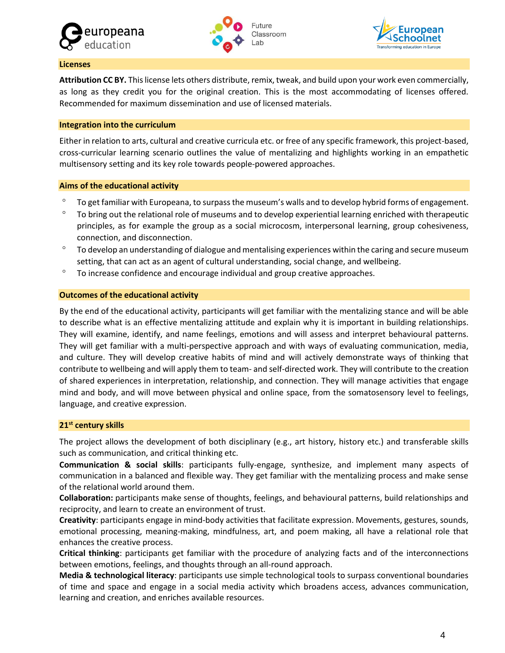![](_page_3_Picture_0.jpeg)

![](_page_3_Picture_1.jpeg)

![](_page_3_Picture_2.jpeg)

### **Licenses**

**Attribution CC BY.** This license lets others distribute, remix, tweak, and build upon your work even commercially, as long as they credit you for the original creation. This is the most accommodating of licenses offered. Recommended for maximum dissemination and use of licensed materials.

# **Integration into the curriculum**

Either in relation to arts, cultural and creative curricula etc. or free of any specific framework, this project-based, cross-curricular learning scenario outlines the value of mentalizing and highlights working in an empathetic multisensory setting and its key role towards people-powered approaches.

# **Aims of the educational activity**

- <sup>o</sup> To get familiar with Europeana, to surpass the museum's walls and to develop hybrid forms of engagement.
- <sup>o</sup> To bring out the relational role of museums and to develop experiential learning enriched with therapeutic principles, as for example the group as a social microcosm, interpersonal learning, group cohesiveness, connection, and disconnection.
- $\degree$  To develop an understanding of dialogue and mentalising experiences within the caring and secure museum setting, that can act as an agent of cultural understanding, social change, and wellbeing.
- $\degree$  To increase confidence and encourage individual and group creative approaches.

# **Outcomes of the educational activity**

By the end of the educational activity, participants will get familiar with the mentalizing stance and will be able to describe what is an effective mentalizing attitude and explain why it is important in building relationships. They will examine, identify, and name feelings, emotions and will assess and interpret behavioural patterns. They will get familiar with a multi-perspective approach and with ways of evaluating communication, media, and culture. They will develop creative habits of mind and will actively demonstrate ways of thinking that contribute to wellbeing and will apply them to team- and self-directed work. They will contribute to the creation of shared experiences in interpretation, relationship, and connection. They will manage activities that engage mind and body, and will move between physical and online space, from the somatosensory level to feelings, language, and creative expression.

# **21st century skills**

The project allows the development of both disciplinary (e.g., art history, history etc.) and transferable skills such as communication, and critical thinking etc.

**Communication & social skills**: participants fully-engage, synthesize, and implement many aspects of communication in a balanced and flexible way. They get familiar with the mentalizing process and make sense of the relational world around them.

**Collaboration:** participants make sense of thoughts, feelings, and behavioural patterns, build relationships and reciprocity, and learn to create an environment of trust.

**Creativity**: participants engage in mind-body activities that facilitate expression. Movements, gestures, sounds, emotional processing, meaning-making, mindfulness, art, and poem making, all have a relational role that enhances the creative process.

**Critical thinking**: participants get familiar with the procedure of analyzing facts and of the interconnections between emotions, feelings, and thoughts through an all-round approach.

**Media & technological literacy**: participants use simple technological tools to surpass conventional boundaries of time and space and engage in a social media activity which broadens access, advances communication, learning and creation, and enriches available resources.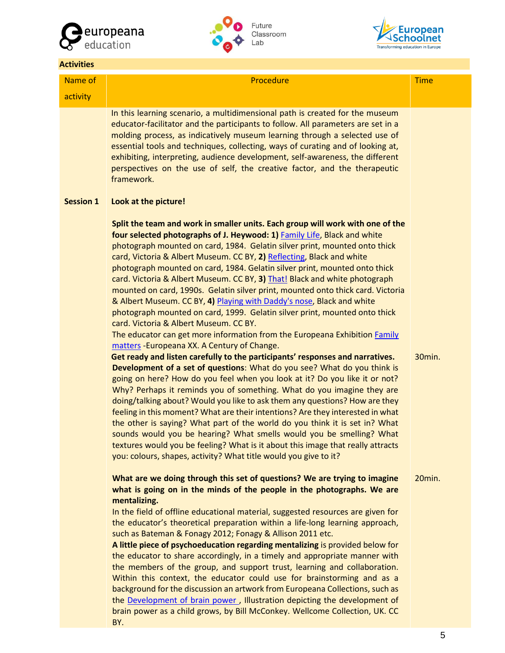![](_page_4_Picture_0.jpeg)

![](_page_4_Picture_1.jpeg)

![](_page_4_Picture_2.jpeg)

### **Activities**

# Name of activity

### Procedure Time

In this learning scenario, a multidimensional path is created for the museum educator-facilitator and the participants to follow. All parameters are set in a molding process, as indicatively museum learning through a selected use of essential tools and techniques, collecting, ways of curating and of looking at, exhibiting, interpreting, audience development, self-awareness, the different perspectives on the use of self, the creative factor, and the therapeutic framework.

#### **Session 1 Look at the picture!**

**Split the team and work in smaller units. Each group will work with one of the four selected photographs of J. Heywood: 1)** [Family Life,](https://www.europeana.eu/en/item/2048213/europeana_fashion_http___collections_vam_ac_uk_item_O1264344) Black and white photograph mounted on card, 1984. Gelatin silver print, mounted onto thick card, Victoria & Albert Museum. CC BY, **2)** [Reflecting,](https://www.europeana.eu/en/item/2048213/europeana_fashion_http___collections_vam_ac_uk_item_O1264528) Black and white photograph mounted on card, 1984. Gelatin silver print, mounted onto thick card. Victoria & Albert Museum. CC BY, **3)** [That!](https://www.europeana.eu/en/item/2048213/europeana_fashion_http___collections_vam_ac_uk_item_O1264343) Black and white photograph mounted on card, 1990s. Gelatin silver print, mounted onto thick card. Victoria & Albert Museum. CC BY, **4)** [Playing with Daddy's nose,](https://www.europeana.eu/en/item/2048213/europeana_fashion_http___collections_vam_ac_uk_item_O1264348) Black and white photograph mounted on card, 1999. Gelatin silver print, mounted onto thick card. Victoria & Albert Museum. CC BY.

The educator can get more information from the Europeana Exhibition [Family](https://www.europeana.eu/en/exhibitions/family-matters)  [matters](https://www.europeana.eu/en/exhibitions/family-matters) -Europeana XX. A Century of Change.

30min.

**Get ready and listen carefully to the participants' responses and narratives. Development of a set of questions**: What do you see? What do you think is going on here? How do you feel when you look at it? Do you like it or not? Why? Perhaps it reminds you of something. What do you imagine they are doing/talking about? Would you like to ask them any questions? How are they feeling in this moment? What are their intentions? Are they interested in what the other is saying? What part of the world do you think it is set in? What sounds would you be hearing? What smells would you be smelling? What textures would you be feeling? What is it about this image that really attracts you: colours, shapes, activity? What title would you give to it?

### **What are we doing through this set of questions? We are trying to imagine what is going on in the minds of the people in the photographs. We are mentalizing.**  20min.

In the field of offline educational material, suggested resources are given for the educator's theoretical preparation within a life-long learning approach, such as Bateman & Fonagy 2012; Fonagy & Allison 2011 etc.

**A little piece of psychoeducation regarding mentalizing** is provided below for the educator to share accordingly, in a timely and appropriate manner with the members of the group, and support trust, learning and collaboration. Within this context, the educator could use for brainstorming and as a background for the discussion an artwork from Europeana Collections, such as the [Development of brain power ,](https://www.europeana.eu/en/item/9200579/p9uk74qa) Illustration depicting the development of brain power as a child grows, by Bill McConkey. Wellcome Collection, UK. CC BY.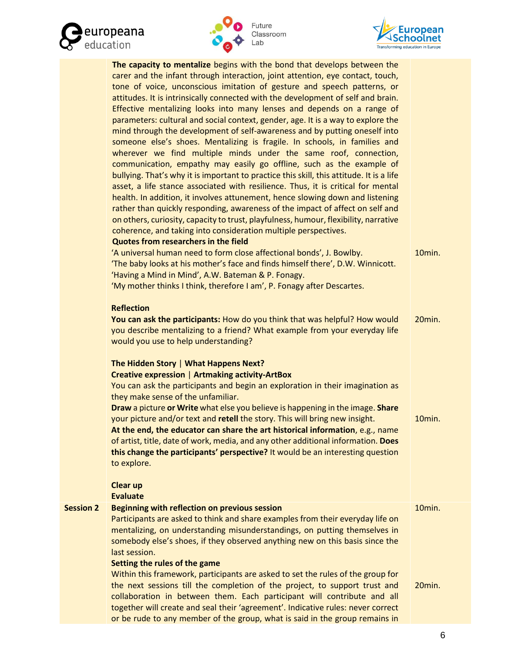![](_page_5_Picture_0.jpeg)

![](_page_5_Picture_1.jpeg)

![](_page_5_Picture_2.jpeg)

|                  | The capacity to mentalize begins with the bond that develops between the<br>carer and the infant through interaction, joint attention, eye contact, touch,<br>tone of voice, unconscious imitation of gesture and speech patterns, or<br>attitudes. It is intrinsically connected with the development of self and brain.<br>Effective mentalizing looks into many lenses and depends on a range of<br>parameters: cultural and social context, gender, age. It is a way to explore the<br>mind through the development of self-awareness and by putting oneself into<br>someone else's shoes. Mentalizing is fragile. In schools, in families and<br>wherever we find multiple minds under the same roof, connection,<br>communication, empathy may easily go offline, such as the example of<br>bullying. That's why it is important to practice this skill, this attitude. It is a life<br>asset, a life stance associated with resilience. Thus, it is critical for mental<br>health. In addition, it involves attunement, hence slowing down and listening<br>rather than quickly responding, awareness of the impact of affect on self and<br>on others, curiosity, capacity to trust, playfulness, humour, flexibility, narrative<br>coherence, and taking into consideration multiple perspectives.<br><b>Quotes from researchers in the field</b> |        |
|------------------|------------------------------------------------------------------------------------------------------------------------------------------------------------------------------------------------------------------------------------------------------------------------------------------------------------------------------------------------------------------------------------------------------------------------------------------------------------------------------------------------------------------------------------------------------------------------------------------------------------------------------------------------------------------------------------------------------------------------------------------------------------------------------------------------------------------------------------------------------------------------------------------------------------------------------------------------------------------------------------------------------------------------------------------------------------------------------------------------------------------------------------------------------------------------------------------------------------------------------------------------------------------------------------------------------------------------------------------------------------|--------|
|                  | 'A universal human need to form close affectional bonds', J. Bowlby.<br>'The baby looks at his mother's face and finds himself there', D.W. Winnicott.<br>'Having a Mind in Mind', A.W. Bateman & P. Fonagy.<br>'My mother thinks I think, therefore I am', P. Fonagy after Descartes.                                                                                                                                                                                                                                                                                                                                                                                                                                                                                                                                                                                                                                                                                                                                                                                                                                                                                                                                                                                                                                                                     | 10min. |
|                  | <b>Reflection</b><br>You can ask the participants: How do you think that was helpful? How would<br>you describe mentalizing to a friend? What example from your everyday life<br>would you use to help understanding?                                                                                                                                                                                                                                                                                                                                                                                                                                                                                                                                                                                                                                                                                                                                                                                                                                                                                                                                                                                                                                                                                                                                      | 20min. |
|                  | The Hidden Story   What Happens Next?<br><b>Creative expression   Artmaking activity-ArtBox</b><br>You can ask the participants and begin an exploration in their imagination as<br>they make sense of the unfamiliar.<br>Draw a picture or Write what else you believe is happening in the image. Share<br>your picture and/or text and retell the story. This will bring new insight.<br>At the end, the educator can share the art historical information, e.g., name<br>of artist, title, date of work, media, and any other additional information. Does<br>this change the participants' perspective? It would be an interesting question<br>to explore.<br><b>Clear up</b>                                                                                                                                                                                                                                                                                                                                                                                                                                                                                                                                                                                                                                                                          | 10min. |
|                  | <b>Evaluate</b>                                                                                                                                                                                                                                                                                                                                                                                                                                                                                                                                                                                                                                                                                                                                                                                                                                                                                                                                                                                                                                                                                                                                                                                                                                                                                                                                            |        |
| <b>Session 2</b> | Beginning with reflection on previous session<br>Participants are asked to think and share examples from their everyday life on<br>mentalizing, on understanding misunderstandings, on putting themselves in<br>somebody else's shoes, if they observed anything new on this basis since the<br>last session.<br>Setting the rules of the game                                                                                                                                                                                                                                                                                                                                                                                                                                                                                                                                                                                                                                                                                                                                                                                                                                                                                                                                                                                                             | 10min. |
|                  | Within this framework, participants are asked to set the rules of the group for<br>the next sessions till the completion of the project, to support trust and<br>collaboration in between them. Each participant will contribute and all<br>together will create and seal their 'agreement'. Indicative rules: never correct<br>or be rude to any member of the group, what is said in the group remains in                                                                                                                                                                                                                                                                                                                                                                                                                                                                                                                                                                                                                                                                                                                                                                                                                                                                                                                                                | 20min. |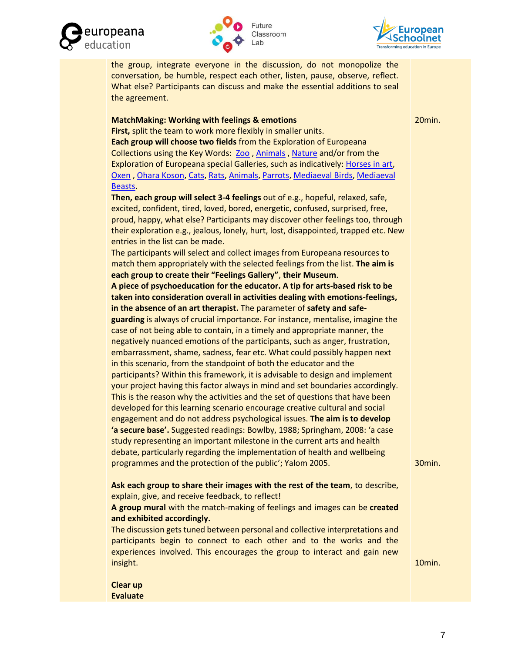![](_page_6_Picture_0.jpeg)

![](_page_6_Picture_1.jpeg)

![](_page_6_Picture_2.jpeg)

the group, integrate everyone in the discussion, do not monopolize the conversation, be humble, respect each other, listen, pause, observe, reflect. What else? Participants can discuss and make the essential additions to seal the agreement.

# **MatchMaking: Working with feelings & emotions**

20min.

**First,** split the team to work more flexibly in smaller units. **Each group will choose two fields** from the Exploration of Europeana Collections using the Key Words: [Zoo](https://www.europeana.eu/en/search?page=1&view=grid&query=%27zoo%27) [, Animals](https://www.europeana.eu/en/search?page=1&view=grid&query=%27animals%27) [, Nature](https://www.europeana.eu/en/search?page=1&view=grid&query=%27nature%27) and/or from the Exploration of Europeana special Galleries, such as indicatively: [Horses in art,](https://www.europeana.eu/en/galleries/horses-in-art-equestrian-portraits) [Oxen](https://www.europeana.eu/en/galleries/oxen) , [Ohara Koson,](https://www.europeana.eu/en/galleries/ohara-koson) [Cats,](https://www.europeana.eu/en/galleries/cats) [Rats,](https://www.europeana.eu/en/galleries/rats) [Animals,](https://www.europeana.eu/en/galleries/animals) [Parrots,](https://www.europeana.eu/en/galleries/parrots) [Mediaeval Birds,](https://www.europeana.eu/en/galleries/mediaeval-birds) [Mediaeval](https://www.europeana.eu/en/galleries/mediaeval-beasts)  [Beasts.](https://www.europeana.eu/en/galleries/mediaeval-beasts)

**Then, each group will select 3-4 feelings** out of e.g., hopeful, relaxed, safe, excited, confident, tired, loved, bored, energetic, confused, surprised, free, proud, happy, what else? Participants may discover other feelings too, through their exploration e.g., jealous, lonely, hurt, lost, disappointed, trapped etc. New entries in the list can be made.

The participants will select and collect images from Europeana resources to match them appropriately with the selected feelings from the list. **The aim is each group to create their "Feelings Gallery"**, **their Museum**.

**A piece of psychoeducation for the educator. A tip for arts-based risk to be taken into consideration overall in activities dealing with emotions-feelings, in the absence of an art therapist.** The parameter of **safety and safeguarding** is always of crucial importance. For instance, mentalise, imagine the

case of not being able to contain, in a timely and appropriate manner, the negatively nuanced emotions of the participants, such as anger, frustration, embarrassment, shame, sadness, fear etc. What could possibly happen next in this scenario, from the standpoint of both the educator and the participants? Within this framework, it is advisable to design and implement your project having this factor always in mind and set boundaries accordingly. This is the reason why the activities and the set of questions that have been developed for this learning scenario encourage creative cultural and social engagement and do not address psychological issues. **The aim is to develop 'a secure base'.** Suggested readings: Bowlby, 1988; Springham, 2008: 'a case study representing an important milestone in the current arts and health debate, particularly regarding the implementation of health and wellbeing programmes and the protection of the public'; Yalom 2005.

30min.

**Ask each group to share their images with the rest of the team**, to describe, explain, give, and receive feedback, to reflect!

**A group mural** with the match-making of feelings and images can be **created and exhibited accordingly.**

The discussion gets tuned between personal and collective interpretations and participants begin to connect to each other and to the works and the experiences involved. This encourages the group to interact and gain new insight.

10min.

**Clear up Evaluate**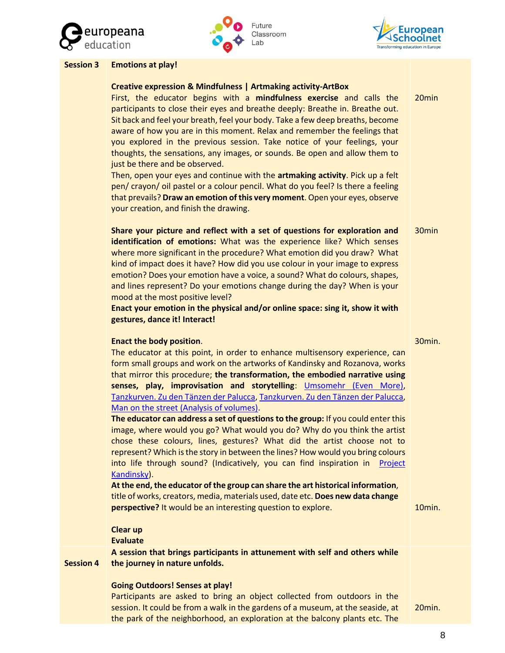![](_page_7_Picture_0.jpeg)

![](_page_7_Figure_1.jpeg)

![](_page_7_Picture_2.jpeg)

20min

30min

# **Session 3 Emotions at play!**

### **Creative expression & Mindfulness | Artmaking activity-ArtBox**

First, the educator begins with a **mindfulness exercise** and calls the participants to close their eyes and breathe deeply: Breathe in. Breathe out. Sit back and feel your breath, feel your body. Take a few deep breaths, become aware of how you are in this moment. Relax and remember the feelings that you explored in the previous session. Take notice of your feelings, your thoughts, the sensations, any images, or sounds. Be open and allow them to just be there and be observed.

Then, open your eyes and continue with the **artmaking activity**. Pick up a felt pen/ crayon/ oil pastel or a colour pencil. What do you feel? Is there a feeling that prevails? **Draw an emotion of this very moment**. Open your eyes, observe your creation, and finish the drawing.

**Share your picture and reflect with a set of questions for exploration and identification of emotions:** What was the experience like? Which senses where more significant in the procedure? What emotion did you draw? What kind of impact does it have? How did you use colour in your image to express emotion? Does your emotion have a voice, a sound? What do colours, shapes, and lines represent? Do your emotions change during the day? When is your mood at the most positive level?

**Enact your emotion in the physical and/or online space: sing it, show it with gestures, dance it! Interact!** 

### **Enact the body position**.

30min.

The educator at this point, in order to enhance multisensory experience, can form small groups and work on the artworks of Kandinsky and Rozanova, works that mirror this procedure; **the transformation, the embodied narrative using senses, play, improvisation and storytelling**: [Umsomehr \(Even More\),](https://www.europeana.eu/en/item/2024918/photography_ProvidedCHO_The_Israel_Museum__Jerusalem_194256) [Tanzkurven. Zu den Tänzen der Palucca,](https://www.europeana.eu/en/item/437/item_SPF2FSZLISOKQX6HRJUUO6FNO6DXZRPA) [Tanzkurven. Zu den Tänzen der Palucca,](https://www.europeana.eu/en/item/437/item_XQ773ZO46H2CILNT53GXLN36X4VIMNQO) [Man on the street \(Analysis of volumes\).](https://www.europeana.eu/en/search?page=1&view=grid&query=%27Man%20on%20the%20street%20%28Analysis%20of%20Volumes%29%27)

**The educator can address a set of questions to the group:** If you could enter this image, where would you go? What would you do? Why do you think the artist chose these colours, lines, gestures? What did the artist choose not to represent? Which is the story in between the lines? How would you bring colours into life through sound? (Indicatively, you can find inspiration in [Project](https://artsandculture.google.com/project/kandinsky)  [Kandinsky\)](https://artsandculture.google.com/project/kandinsky).

**At the end, the educator of the group can share the art historical information**, title of works, creators, media, materials used, date etc. **Does new data change perspective?** It would be an interesting question to explore.

10min.

**Clear up**

**Evaluate**

**Session 4 A session that brings participants in attunement with self and others while the journey in nature unfolds.**

# **Going Outdoors! Senses at play!**

Participants are asked to bring an object collected from outdoors in the session. It could be from a walk in the gardens of a museum, at the seaside, at the park of the neighborhood, an exploration at the balcony plants etc. The

20min.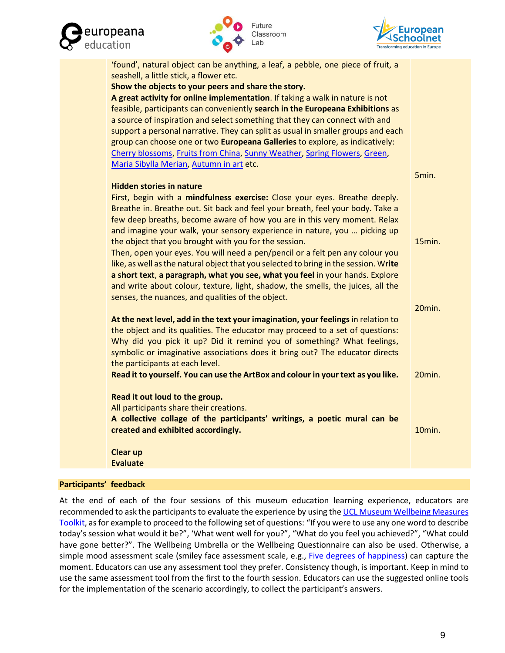![](_page_8_Picture_0.jpeg)

![](_page_8_Picture_1.jpeg)

![](_page_8_Picture_2.jpeg)

| 'found', natural object can be anything, a leaf, a pebble, one piece of fruit, a     |           |
|--------------------------------------------------------------------------------------|-----------|
| seashell, a little stick, a flower etc.                                              |           |
| Show the objects to your peers and share the story.                                  |           |
| A great activity for online implementation. If taking a walk in nature is not        |           |
| feasible, participants can conveniently search in the Europeana Exhibitions as       |           |
| a source of inspiration and select something that they can connect with and          |           |
| support a personal narrative. They can split as usual in smaller groups and each     |           |
| group can choose one or two Europeana Galleries to explore, as indicatively:         |           |
| Cherry blossoms, Fruits from China, Sunny Weather, Spring Flowers, Green,            |           |
| Maria Sibylla Merian, Autumn in art etc.                                             |           |
|                                                                                      | 5min.     |
| <b>Hidden stories in nature</b>                                                      |           |
| First, begin with a mindfulness exercise: Close your eyes. Breathe deeply.           |           |
| Breathe in. Breathe out. Sit back and feel your breath, feel your body. Take a       |           |
| few deep breaths, become aware of how you are in this very moment. Relax             |           |
| and imagine your walk, your sensory experience in nature, you  picking up            |           |
| the object that you brought with you for the session.                                | 15min.    |
| Then, open your eyes. You will need a pen/pencil or a felt pen any colour you        |           |
| like, as well as the natural object that you selected to bring in the session. Write |           |
| a short text, a paragraph, what you see, what you feel in your hands. Explore        |           |
| and write about colour, texture, light, shadow, the smells, the juices, all the      |           |
| senses, the nuances, and qualities of the object.                                    |           |
|                                                                                      | $20$ min. |
| At the next level, add in the text your imagination, your feelings in relation to    |           |
| the object and its qualities. The educator may proceed to a set of questions:        |           |
| Why did you pick it up? Did it remind you of something? What feelings,               |           |
| symbolic or imaginative associations does it bring out? The educator directs         |           |
| the participants at each level.                                                      |           |
| Read it to yourself. You can use the ArtBox and colour in your text as you like.     | 20min.    |
| Read it out loud to the group.                                                       |           |
| All participants share their creations.                                              |           |
| A collective collage of the participants' writings, a poetic mural can be            |           |
| created and exhibited accordingly.                                                   | 10min.    |
| <b>Clear up</b>                                                                      |           |
| <b>Evaluate</b>                                                                      |           |

### **Participants' feedback**

At the end of each of the four sessions of this museum education learning experience, educators are recommended to ask the participants to evaluate the experience by using the UCL Museum Wellbeing Measures [Toolkit,](https://www.ucl.ac.uk/culture/sites/culture/files/ucl_museum_wellbeing_measures_toolkit_sept2013.pdf) as for example to proceed to the following set of questions: "If you were to use any one word to describe today's session what would it be?", 'What went well for you?", "What do you feel you achieved?", "What could have gone better?". The Wellbeing Umbrella or the Wellbeing Questionnaire can also be used. Otherwise, a simple mood assessment scale (smiley face assessment scale, e.g., [Five degrees of happiness\)](https://sure.sunderland.ac.uk/id/eprint/6965/7/Hall%20Hume%20Tazzyman%20IDC.pdf) can capture the moment. Educators can use any assessment tool they prefer. Consistency though, is important. Keep in mind to use the same assessment tool from the first to the fourth session. Educators can use the suggested online tools for the implementation of the scenario accordingly, to collect the participant's answers.